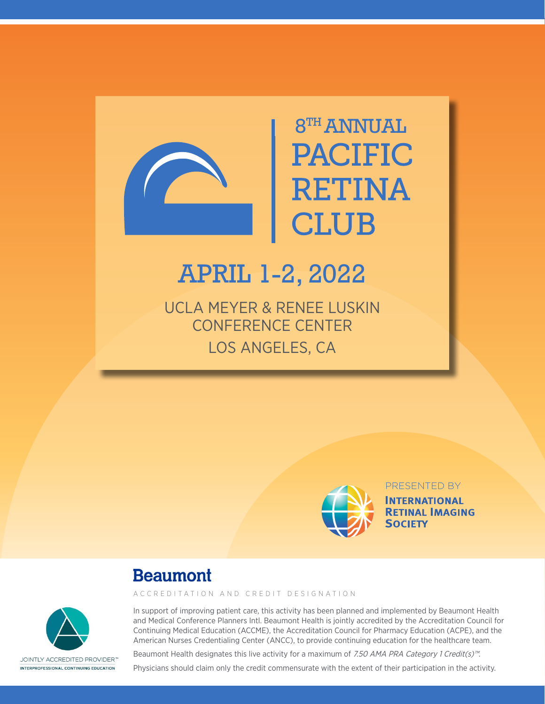

# 8TH ANNUAL **PACIFIC RETINA** CLUB

## APRIL 1-2, 2022

UCLA MEYER & RENEE LUSKIN CONFERENCE CENTER LOS ANGELES, CA



PRESENTED BY

**INTERNATIONAL RETINAL IMAGING SOCIETY** 

### **Beaumont**

ACCREDITATION AND CREDIT DESIGNATION



In support of improving patient care, this activity has been planned and implemented by Beaumont Health and Medical Conference Planners Intl. Beaumont Health is jointly accredited by the Accreditation Council for Continuing Medical Education (ACCME), the Accreditation Council for Pharmacy Education (ACPE), and the American Nurses Credentialing Center (ANCC), to provide continuing education for the healthcare team.

Beaumont Health designates this live activity for a maximum of 7.50 AMA PRA Category 1 Credit(s)<sup>™</sup>.

Physicians should claim only the credit commensurate with the extent of their participation in the activity.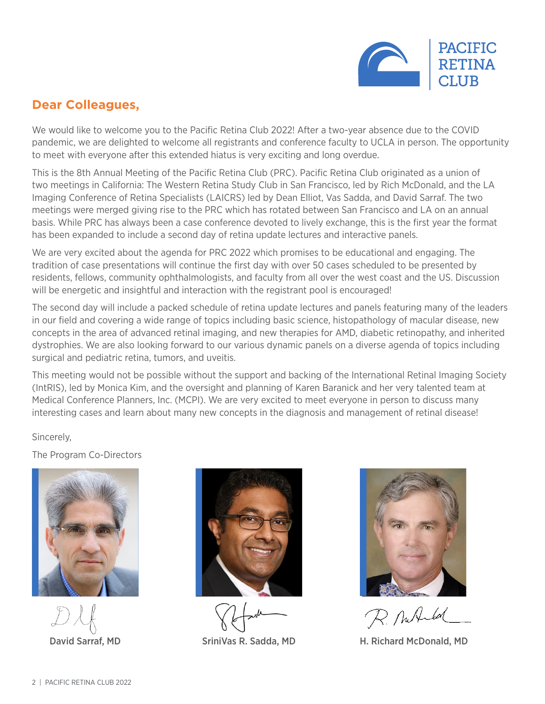

### **Dear Colleagues,**

We would like to welcome you to the Pacific Retina Club 2022! After a two-year absence due to the COVID pandemic, we are delighted to welcome all registrants and conference faculty to UCLA in person. The opportunity to meet with everyone after this extended hiatus is very exciting and long overdue.

This is the 8th Annual Meeting of the Pacific Retina Club (PRC). Pacific Retina Club originated as a union of two meetings in California: The Western Retina Study Club in San Francisco, led by Rich McDonald, and the LA Imaging Conference of Retina Specialists (LAICRS) led by Dean Elliot, Vas Sadda, and David Sarraf. The two meetings were merged giving rise to the PRC which has rotated between San Francisco and LA on an annual basis. While PRC has always been a case conference devoted to lively exchange, this is the first year the format has been expanded to include a second day of retina update lectures and interactive panels.

We are very excited about the agenda for PRC 2022 which promises to be educational and engaging. The tradition of case presentations will continue the first day with over 50 cases scheduled to be presented by residents, fellows, community ophthalmologists, and faculty from all over the west coast and the US. Discussion will be energetic and insightful and interaction with the registrant pool is encouraged!

The second day will include a packed schedule of retina update lectures and panels featuring many of the leaders in our field and covering a wide range of topics including basic science, histopathology of macular disease, new concepts in the area of advanced retinal imaging, and new therapies for AMD, diabetic retinopathy, and inherited dystrophies. We are also looking forward to our various dynamic panels on a diverse agenda of topics including surgical and pediatric retina, tumors, and uveitis.

This meeting would not be possible without the support and backing of the International Retinal Imaging Society (IntRIS), led by Monica Kim, and the oversight and planning of Karen Baranick and her very talented team at Medical Conference Planners, Inc. (MCPI). We are very excited to meet everyone in person to discuss many interesting cases and learn about many new concepts in the diagnosis and management of retinal disease!

#### Sincerely,

The Program Co-Directors







R. Mund

David Sarraf, MD SriniVas R. Sadda, MD H. Richard McDonald, MD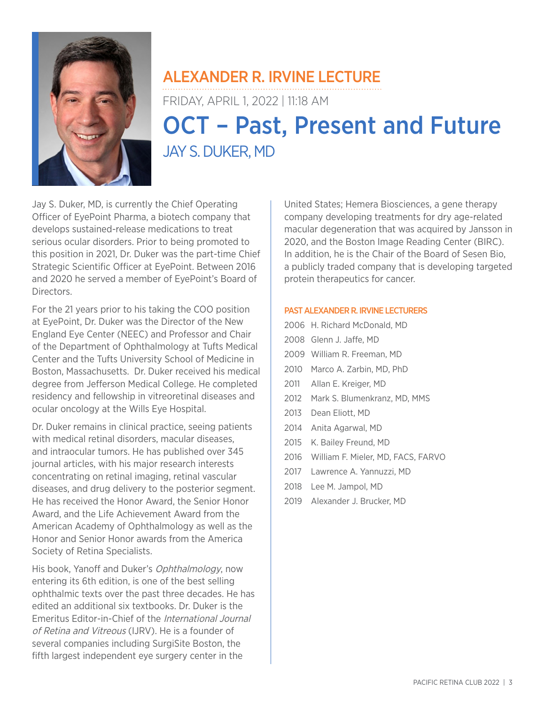

## ALEXANDER R. IRVINE LECTURE

FRIDAY, APRIL 1, 2022 | 11:18 AM

## OCT – Past, Present and Future JAY S. DUKER, MD

Jay S. Duker, MD, is currently the Chief Operating Officer of EyePoint Pharma, a biotech company that develops sustained-release medications to treat serious ocular disorders. Prior to being promoted to this position in 2021, Dr. Duker was the part-time Chief Strategic Scientific Officer at EyePoint. Between 2016 and 2020 he served a member of EyePoint's Board of **Directors** 

For the 21 years prior to his taking the COO position at EyePoint, Dr. Duker was the Director of the New England Eye Center (NEEC) and Professor and Chair of the Department of Ophthalmology at Tufts Medical Center and the Tufts University School of Medicine in Boston, Massachusetts. Dr. Duker received his medical degree from Jefferson Medical College. He completed residency and fellowship in vitreoretinal diseases and ocular oncology at the Wills Eye Hospital.

Dr. Duker remains in clinical practice, seeing patients with medical retinal disorders, macular diseases, and intraocular tumors. He has published over 345 journal articles, with his major research interests concentrating on retinal imaging, retinal vascular diseases, and drug delivery to the posterior segment. He has received the Honor Award, the Senior Honor Award, and the Life Achievement Award from the American Academy of Ophthalmology as well as the Honor and Senior Honor awards from the America Society of Retina Specialists.

His book, Yanoff and Duker's Ophthalmology, now entering its 6th edition, is one of the best selling ophthalmic texts over the past three decades. He has edited an additional six textbooks. Dr. Duker is the Emeritus Editor-in-Chief of the International Journal of Retina and Vitreous (IJRV). He is a founder of several companies including SurgiSite Boston, the fifth largest independent eye surgery center in the

United States; Hemera Biosciences, a gene therapy company developing treatments for dry age-related macular degeneration that was acquired by Jansson in 2020, and the Boston Image Reading Center (BIRC). In addition, he is the Chair of the Board of Sesen Bio, a publicly traded company that is developing targeted protein therapeutics for cancer.

#### PAST ALEXANDER R. IRVINE LECTURERS

- 2006 H. Richard McDonald, MD
- 2008 Glenn J. Jaffe, MD
- 2009 William R. Freeman, MD
- 2010 Marco A. Zarbin, MD, PhD
- 2011 Allan E. Kreiger, MD
- 2012 Mark S. Blumenkranz, MD, MMS
- 2013 Dean Eliott, MD
- 2014 Anita Agarwal, MD
- 2015 K. Bailey Freund, MD
- 2016 William F. Mieler, MD, FACS, FARVO
- 2017 Lawrence A. Yannuzzi, MD
- 2018 Lee M. Jampol, MD
- 2019 Alexander J. Brucker, MD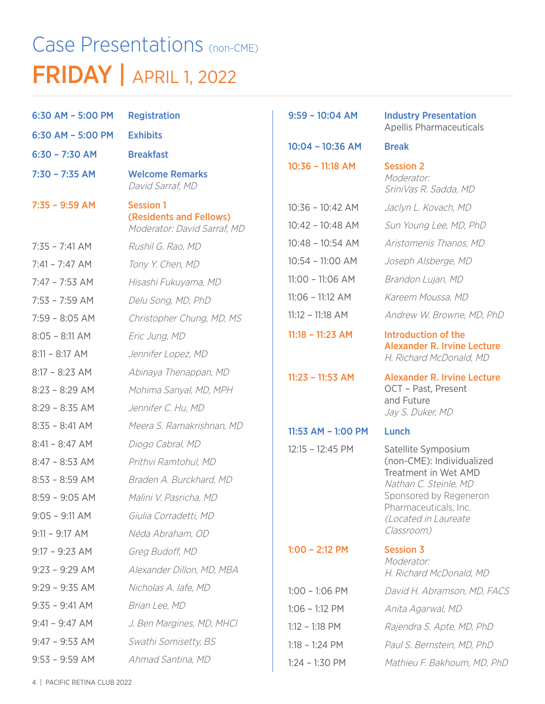# Case Presentations (non-CME) FRIDAY | APRIL 1, 2022

| 6:30 AM - 5:00 PM | <b>Registration</b>                                                        | $9:59 - 10:04 AM$  | <b>Industry Presentation</b>                                                                      |
|-------------------|----------------------------------------------------------------------------|--------------------|---------------------------------------------------------------------------------------------------|
| 6:30 AM - 5:00 PM | <b>Exhibits</b>                                                            |                    | <b>Apellis Pharmaceuticals</b>                                                                    |
| $6:30 - 7:30$ AM  | <b>Breakfast</b>                                                           | $10:04 - 10:36$ AM | <b>Break</b>                                                                                      |
| $7:30 - 7:35$ AM  | <b>Welcome Remarks</b><br>David Sarraf, MD                                 | $10:36 - 11:18$ AM | <b>Session 2</b><br>Moderator:<br>SriniVas R. Sadda, MD                                           |
| $7:35 - 9:59$ AM  | <b>Session 1</b><br>(Residents and Fellows)<br>Moderator: David Sarraf, MD | $10:36 - 10:42$ AM | Jaclyn L. Kovach, MD                                                                              |
|                   |                                                                            | 10:42 - 10:48 AM   | Sun Young Lee, MD, PhD                                                                            |
| $7:35 - 7:41$ AM  | Rushil G. Rao, MD                                                          | 10:48 - 10:54 AM   | Aristomenis Thanos, MD                                                                            |
| $7:41 - 7:47$ AM  | Tony Y. Chen, MD                                                           | 10:54 - 11:00 AM   | Joseph Alsberge, MD                                                                               |
| $7:47 - 7:53$ AM  | Hisashi Fukuyama, MD                                                       | $11:00 - 11:06$ AM | Brandon Lujan, MD                                                                                 |
| $7:53 - 7:59$ AM  | Delu Song, MD, PhD                                                         | $11:06 - 11:12$ AM | Kareem Moussa, MD                                                                                 |
| $7:59 - 8:05$ AM  | Christopher Chung, MD, MS                                                  | $11:12 - 11:18$ AM | Andrew W. Browne, MD, PhD                                                                         |
| $8:05 - 8:11$ AM  | Eric Jung, MD                                                              | $11:18 - 11:23$ AM | Introduction of the<br><b>Alexander R. Irvine Lecture</b><br>H. Richard McDonald, MD              |
| $8:11 - 8:17$ AM  | Jennifer Lopez, MD                                                         |                    |                                                                                                   |
| $8:17 - 8:23$ AM  | Abinaya Thenappan, MD                                                      | $11:23 - 11:53$ AM | <b>Alexander R. Irvine Lecture</b><br>OCT - Past, Present<br>and Future<br>Jay S. Duker, MD       |
| $8:23 - 8:29$ AM  | Mohima Sanyal, MD, MPH                                                     |                    |                                                                                                   |
| $8:29 - 8:35$ AM  | Jennifer C. Hu, MD                                                         |                    |                                                                                                   |
| $8:35 - 8:41$ AM  | Meera S. Ramakrishnan, MD                                                  | 11:53 AM - 1:00 PM | Lunch                                                                                             |
| $8:41 - 8:47$ AM  | Diogo Cabral, MD                                                           | $12:15 - 12:45$ PM | Satellite Symposium<br>(non-CME): Individualized<br>Treatment in Wet AMD<br>Nathan C. Steinle, MD |
| $8:47 - 8:53$ AM  | Prithvi Ramtohul, MD                                                       |                    |                                                                                                   |
| $8:53 - 8:59$ AM  | Braden A. Burckhard, MD                                                    |                    |                                                                                                   |
| $8:59 - 9:05$ AM  | Malini V. Pasricha, MD                                                     |                    | Sponsored by Regeneron                                                                            |
| $9:05 - 9:11$ AM  | Giulia Corradetti, MD                                                      |                    | Pharmaceuticals, Inc.<br>(Located in Laureate<br>Classroom)                                       |
| $9:11 - 9:17$ AM  | Néda Abraham, OD                                                           |                    |                                                                                                   |
| $9:17 - 9:23$ AM  | Greg Budoff, MD                                                            | $1:00 - 2:12$ PM   | <b>Session 3</b><br>Moderator:<br>H. Richard McDonald, MD                                         |
| $9:23 - 9:29$ AM  | Alexander Dillon, MD, MBA                                                  |                    |                                                                                                   |
| $9:29 - 9:35$ AM  | Nicholas A. lafe, MD                                                       | $1:00 - 1:06$ PM   | David H. Abramson, MD, FACS                                                                       |
| $9:35 - 9:41$ AM  | Brian Lee, MD                                                              | $1:06 - 1:12$ PM   | Anita Agarwal, MD                                                                                 |
| $9:41 - 9:47$ AM  | J. Ben Margines, MD, MHCI                                                  | $1:12 - 1:18$ PM   | Rajendra S. Apte, MD, PhD                                                                         |
| $9:47 - 9:53$ AM  | Swathi Somisetty, BS                                                       | $1:18 - 1:24$ PM   | Paul S. Bernstein, MD, PhD                                                                        |
| $9:53 - 9:59$ AM  | Ahmad Santina, MD                                                          | $1:24 - 1:30$ PM   | Mathieu F. Bakhoum, MD, PhD                                                                       |
|                   |                                                                            |                    |                                                                                                   |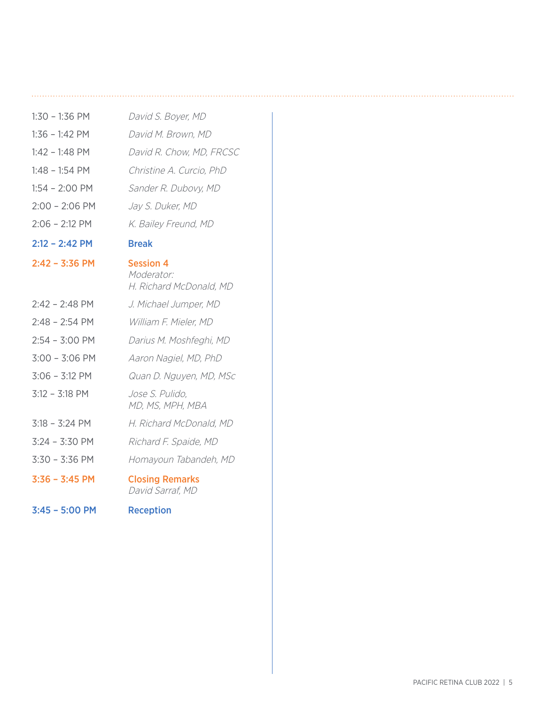| $1:30 - 1:36$ PM | David S. Boyer, MD                                        |
|------------------|-----------------------------------------------------------|
| $1:36 - 1:42$ PM | David M. Brown, MD                                        |
| $1:42 - 1:48$ PM | David R. Chow, MD, FRCSC                                  |
| $1:48 - 1:54$ PM | Christine A. Curcio, PhD                                  |
| $1:54 - 2:00$ PM | Sander R. Dubovy, MD                                      |
| $2:00 - 2:06$ PM | Jay S. Duker, MD                                          |
| $2:06 - 2:12$ PM | K. Bailey Freund, MD                                      |
| $2:12 - 2:42$ PM | <b>Break</b>                                              |
| $2:42 - 3:36$ PM | <b>Session 4</b><br>Moderator:<br>H. Richard McDonald, MD |
| $2:42 - 2:48$ PM | J. Michael Jumper, MD                                     |
| $2:48 - 2:54$ PM | William F. Mieler, MD                                     |
| $2:54 - 3:00$ PM | Darius M. Moshfeghi, MD                                   |
| $3:00 - 3:06$ PM | Aaron Nagiel, MD, PhD                                     |
| $3:06 - 3:12$ PM | Quan D. Nguyen, MD, MSc                                   |
| $3:12 - 3:18$ PM | Jose S. Pulido,<br>MD, MS, MPH, MBA                       |
| $3:18 - 3:24$ PM | H. Richard McDonald, MD                                   |
| $3:24 - 3:30$ PM | Richard F. Spaide, MD                                     |
| $3:30 - 3:36$ PM | Homayoun Tabandeh, MD                                     |
| $3:36 - 3:45$ PM | <b>Closing Remarks</b><br>David Sarraf, MD                |
| $3:45 - 5:00$ PM | <b>Reception</b>                                          |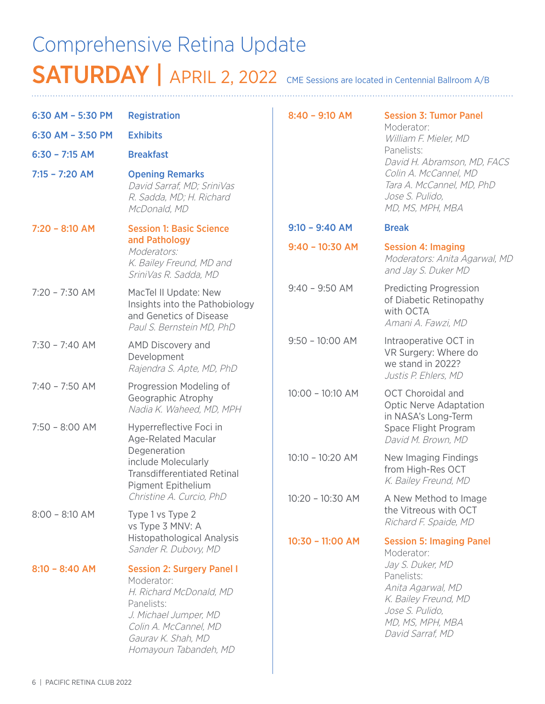# Comprehensive Retina Update SATURDAY | APRIL 2, 2022 CME Sessions are located in Centennial Ballroom A/B

| 6:30 AM - 5:30 PM | <b>Registration</b>                                                                                                                                                                       | 8:40 - 9:10 AM                                                                              | <b>Session 3: Tumor Panel</b><br>Moderator:<br>William F. Mieler, MD<br>Panelists:<br>David H. Abramson, MD, FACS<br>Colin A. McCannel, MD<br>Tara A. McCannel, MD, PhD<br>Jose S. Pulido,<br>MD, MS, MPH, MBA |
|-------------------|-------------------------------------------------------------------------------------------------------------------------------------------------------------------------------------------|---------------------------------------------------------------------------------------------|----------------------------------------------------------------------------------------------------------------------------------------------------------------------------------------------------------------|
| 6:30 AM - 3:50 PM | <b>Exhibits</b>                                                                                                                                                                           |                                                                                             |                                                                                                                                                                                                                |
| $6:30 - 7:15 AM$  | <b>Breakfast</b>                                                                                                                                                                          |                                                                                             |                                                                                                                                                                                                                |
| $7:15 - 7:20$ AM  | <b>Opening Remarks</b><br>David Sarraf, MD; SriniVas<br>R. Sadda, MD; H. Richard<br>McDonald, MD                                                                                          |                                                                                             |                                                                                                                                                                                                                |
| 7:20 - 8:10 AM    | <b>Session 1: Basic Science</b><br>and Pathology<br>Moderators:<br>K. Bailey Freund, MD and<br>SriniVas R. Sadda, MD                                                                      | $9:10 - 9:40$ AM                                                                            | <b>Break</b>                                                                                                                                                                                                   |
|                   |                                                                                                                                                                                           | $9:40 - 10:30$ AM                                                                           | <b>Session 4: Imaging</b><br>Moderators: Anita Agarwal, MD<br>and Jay S. Duker MD                                                                                                                              |
| $7:20 - 7:30$ AM  | MacTel II Update: New<br>Insights into the Pathobiology<br>and Genetics of Disease<br>Paul S. Bernstein MD, PhD                                                                           | $9:40 - 9:50$ AM                                                                            | Predicting Progression<br>of Diabetic Retinopathy<br>with OCTA<br>Amani A. Fawzi, MD                                                                                                                           |
| $7:30 - 7:40$ AM  | AMD Discovery and<br>Development<br>Rajendra S. Apte, MD, PhD                                                                                                                             | $9:50 - 10:00$ AM                                                                           | Intraoperative OCT in<br>VR Surgery: Where do<br>we stand in 2022?<br>Justis P. Ehlers, MD                                                                                                                     |
| $7:40 - 7:50$ AM  | Progression Modeling of<br>Geographic Atrophy<br>Nadia K. Waheed, MD, MPH                                                                                                                 | $10:00 - 10:10$ AM<br><b>OCT Choroidal and</b><br>in NASA's Long-Term<br>David M. Brown, MD | <b>Optic Nerve Adaptation</b>                                                                                                                                                                                  |
| $7:50 - 8:00$ AM  | Hyperreflective Foci in<br><b>Age-Related Macular</b><br>Degeneration<br>include Molecularly<br><b>Transdifferentiated Retinal</b><br>Pigment Epithelium<br>Christine A. Curcio, PhD      |                                                                                             | Space Flight Program                                                                                                                                                                                           |
|                   |                                                                                                                                                                                           | 10:10 - 10:20 AM                                                                            | New Imaging Findings<br>from High-Res OCT<br>K. Bailey Freund, MD                                                                                                                                              |
|                   |                                                                                                                                                                                           | 10:20 - 10:30 AM<br>the Vitreous with OCT                                                   | A New Method to Image                                                                                                                                                                                          |
| $8:00 - 8:10$ AM  | Type 1 vs Type 2<br>vs Type 3 MNV: A<br>Histopathological Analysis<br>Sander R. Dubovy, MD                                                                                                |                                                                                             | Richard F. Spaide, MD                                                                                                                                                                                          |
|                   |                                                                                                                                                                                           | $10:30 - 11:00 AM$                                                                          | <b>Session 5: Imaging Panel</b><br>Moderator:                                                                                                                                                                  |
| $8:10 - 8:40$ AM  | <b>Session 2: Surgery Panel I</b><br>Moderator:<br>H. Richard McDonald, MD<br>Panelists:<br>J. Michael Jumper, MD<br>Colin A. McCannel, MD<br>Gaurav K. Shah, MD<br>Homayoun Tabandeh, MD |                                                                                             | Jay S. Duker, MD<br>Panelists:<br>Anita Agarwal, MD<br>K. Bailey Freund, MD<br>Jose S. Pulido,<br>MD, MS, MPH, MBA<br>David Sarraf, MD                                                                         |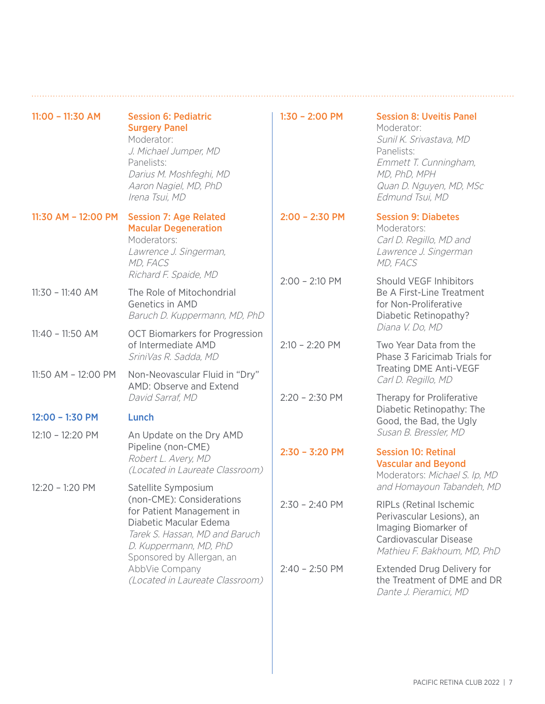| 11:00 - 11:30 AM                    | <b>Session 6: Pediatric</b><br><b>Surgery Panel</b><br>Moderator:<br>J. Michael Jumper, MD<br>Panelists:<br>Darius M. Moshfeghi, MD<br>Aaron Nagiel, MD, PhD<br>Irena Tsui, MD                                                                        | $1:30 - 2:00$ PM | <b>Session 8: Uveitis Panel</b><br>Moderator:<br>Sunil K. Srivastava, MD<br>Panelists:<br>Emmett T. Cunningham,<br>MD, PhD, MPH<br>Quan D. Nguyen, MD, MSc<br>Edmund Tsui, MD |
|-------------------------------------|-------------------------------------------------------------------------------------------------------------------------------------------------------------------------------------------------------------------------------------------------------|------------------|-------------------------------------------------------------------------------------------------------------------------------------------------------------------------------|
| 11:30 AM - 12:00 PM                 | <b>Session 7: Age Related</b><br><b>Macular Degeneration</b><br>Moderators:<br>Lawrence J. Singerman,<br>MD, FACS                                                                                                                                     | $2:00 - 2:30$ PM | <b>Session 9: Diabetes</b><br>Moderators:<br>Carl D. Regillo, MD and<br>Lawrence J. Singerman<br>MD, FACS                                                                     |
| $11:30 - 11:40$ AM                  | Richard F. Spaide, MD<br>The Role of Mitochondrial<br>Genetics in AMD<br>Baruch D. Kuppermann, MD, PhD                                                                                                                                                | $2:00 - 2:10$ PM | Should VEGF Inhibitors<br>Be A First-Line Treatment<br>for Non-Proliferative<br>Diabetic Retinopathy?                                                                         |
| $11:40 - 11:50$ AM                  | <b>OCT Biomarkers for Progression</b><br>of Intermediate AMD<br>SriniVas R. Sadda, MD                                                                                                                                                                 | $2:10 - 2:20$ PM | Diana V. Do, MD<br>Two Year Data from the<br>Phase 3 Faricimab Trials for<br>Treating DME Anti-VEGF                                                                           |
| 11:50 AM - 12:00 PM                 | Non-Neovascular Fluid in "Dry"<br>AMD: Observe and Extend<br>David Sarraf, MD                                                                                                                                                                         | $2:20 - 2:30$ PM | Carl D. Regillo, MD<br>Therapy for Proliferative                                                                                                                              |
| 12:00 - 1:30 PM<br>12:10 - 12:20 PM | Lunch<br>An Update on the Dry AMD                                                                                                                                                                                                                     |                  | Diabetic Retinopathy: The<br>Good, the Bad, the Ugly<br>Susan B. Bressler, MD                                                                                                 |
|                                     | Pipeline (non-CME)<br>Robert L. Avery, MD<br>(Located in Laureate Classroom)                                                                                                                                                                          | $2:30 - 3:20$ PM | <b>Session 10: Retinal</b><br><b>Vascular and Beyond</b><br>Moderators: Michael S. Ip, MD                                                                                     |
| 12:20 - 1:20 PM                     | Satellite Symposium<br>(non-CME): Considerations<br>for Patient Management in<br>Diabetic Macular Edema<br>Tarek S. Hassan, MD and Baruch<br>D. Kuppermann, MD, PhD<br>Sponsored by Allergan, an<br>AbbVie Company<br>(Located in Laureate Classroom) | $2:30 - 2:40$ PM | and Homayoun Tabandeh, MD<br>RIPLs (Retinal Ischemic<br>Perivascular Lesions), an<br>Imaging Biomarker of<br>Cardiovascular Disease<br>Mathieu F. Bakhoum, MD, PhD            |
|                                     |                                                                                                                                                                                                                                                       | $2:40 - 2:50$ PM | <b>Extended Drug Delivery for</b><br>the Treatment of DME and DR<br>Dante J. Pieramici, MD                                                                                    |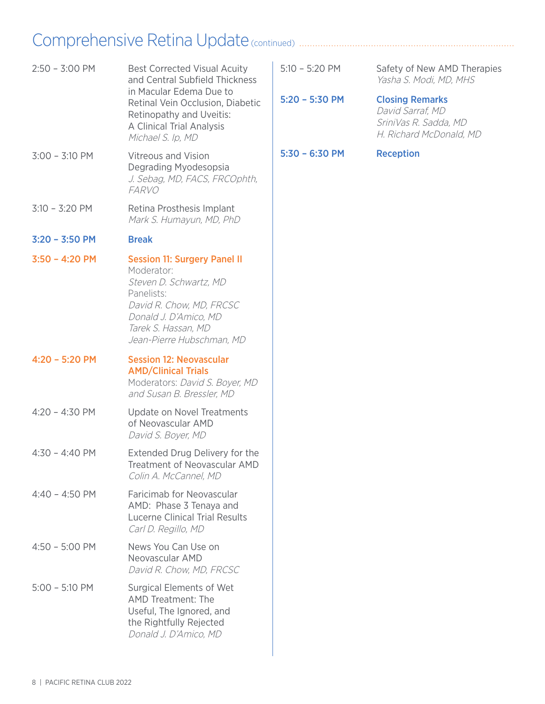## Comprehensive Retina Update (continued)

| $2:50 - 3:00$ PM | <b>Best Corrected Visual Acuity</b><br>and Central Subfield Thickness<br>in Macular Edema Due to<br>Retinal Vein Occlusion, Diabetic<br>Retinopathy and Uveitis:<br>A Clinical Trial Analysis<br>Michael S. Ip, MD | $5:10 - 5:20$ PM | Safety of New AMD Therapies<br>Yasha S. Modi, MD, MHS                                          |
|------------------|--------------------------------------------------------------------------------------------------------------------------------------------------------------------------------------------------------------------|------------------|------------------------------------------------------------------------------------------------|
|                  |                                                                                                                                                                                                                    | $5:20 - 5:30$ PM | <b>Closing Remarks</b><br>David Sarraf, MD<br>SriniVas R. Sadda, MD<br>H. Richard McDonald, MD |
| $3:00 - 3:10$ PM | Vitreous and Vision<br>Degrading Myodesopsia<br>J. Sebag, MD, FACS, FRCOphth,<br><b>FARVO</b>                                                                                                                      | $5:30 - 6:30$ PM | <b>Reception</b>                                                                               |
| $3:10 - 3:20$ PM | Retina Prosthesis Implant<br>Mark S. Humayun, MD, PhD                                                                                                                                                              |                  |                                                                                                |
| $3:20 - 3:50$ PM | <b>Break</b>                                                                                                                                                                                                       |                  |                                                                                                |
| $3:50 - 4:20$ PM | <b>Session 11: Surgery Panel II</b><br>Moderator:<br>Steven D. Schwartz, MD<br>Panelists:<br>David R. Chow, MD, FRCSC<br>Donald J. D'Amico, MD<br>Tarek S. Hassan, MD<br>Jean-Pierre Hubschman, MD                 |                  |                                                                                                |
| 4:20 - 5:20 PM   | <b>Session 12: Neovascular</b><br><b>AMD/Clinical Trials</b><br>Moderators: David S. Boyer, MD<br>and Susan B. Bressler, MD                                                                                        |                  |                                                                                                |
| $4:20 - 4:30$ PM | Update on Novel Treatments<br>of Neovascular AMD<br>David S. Boyer, MD                                                                                                                                             |                  |                                                                                                |
| $4:30 - 4:40$ PM | Extended Drug Delivery for the<br>Treatment of Neovascular AMD<br>Colin A. McCannel, MD                                                                                                                            |                  |                                                                                                |
| $4:40 - 4:50$ PM | Faricimab for Neovascular<br>AMD: Phase 3 Tenaya and<br><b>Lucerne Clinical Trial Results</b><br>Carl D. Regillo, MD                                                                                               |                  |                                                                                                |
| $4:50 - 5:00$ PM | News You Can Use on<br>Neovascular AMD<br>David R. Chow, MD, FRCSC                                                                                                                                                 |                  |                                                                                                |
| $5:00 - 5:10$ PM | <b>Surgical Elements of Wet</b><br><b>AMD Treatment: The</b><br>Useful, The Ignored, and<br>the Rightfully Rejected<br>Donald J. D'Amico, MD                                                                       |                  |                                                                                                |